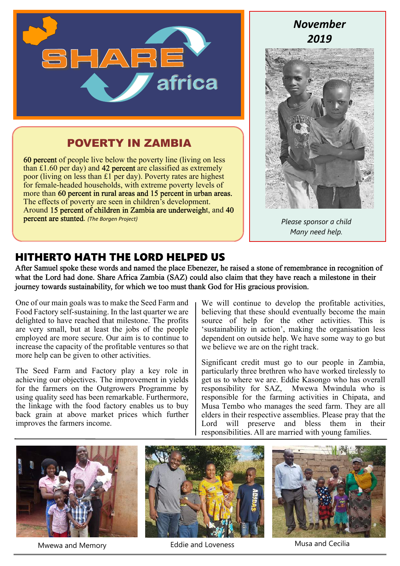

### **POVERTY IN ZAMBIA**

60 percent of people live below the poverty line (living on less than £1.60 per day) and 42 percent are classified as extremely poor (living on less than £1 per day). Poverty rates are highest for female-headed households, with extreme poverty levels of more than 60 percent in rural areas and 15 percent in urban areas. The effects of poverty are seen in children's development. Around 15 percent of children in Zambia are underweight, and 40 . *(The Borgen Project)*

## *November 2019*



*Please sponsor a child Many need help.*

### **HITHERTO HATH THE LORD HELPED US**

After Samuel spoke these words and named the place Ebenezer, he raised a stone of remembrance in recognition of what the Lord had done. Share Africa Zambia (SAZ) could also claim that they have reach a milestone in their journey towards sustainability, for which we too must thank God for His gracious provision.

One of our main goals was to make the Seed Farm and Food Factory self-sustaining. In the last quarter we are delighted to have reached that milestone. The profits are very small, but at least the jobs of the people employed are more secure. Our aim is to continue to increase the capacity of the profitable ventures so that more help can be given to other activities.

The Seed Farm and Factory play a key role in achieving our objectives. The improvement in yields for the farmers on the Outgrowers Programme by using quality seed has been remarkable. Furthermore, the linkage with the food factory enables us to buy back grain at above market prices which further improves the farmers income.

We will continue to develop the profitable activities, believing that these should eventually become the main source of help for the other activities. This is 'sustainability in action', making the organisation less dependent on outside help. We have some way to go but we believe we are on the right track.

Significant credit must go to our people in Zambia, particularly three brethren who have worked tirelessly to get us to where we are. Eddie Kasongo who has overall responsibility for SAZ, Mwewa Mwindula who is responsible for the farming activities in Chipata, and Musa Tembo who manages the seed farm. They are all elders in their respective assemblies. Please pray that the Lord will preserve and bless them in their responsibilities. All are married with young families.



Mwewa and Memory **Eddie and Loveness** Musa and Cecilia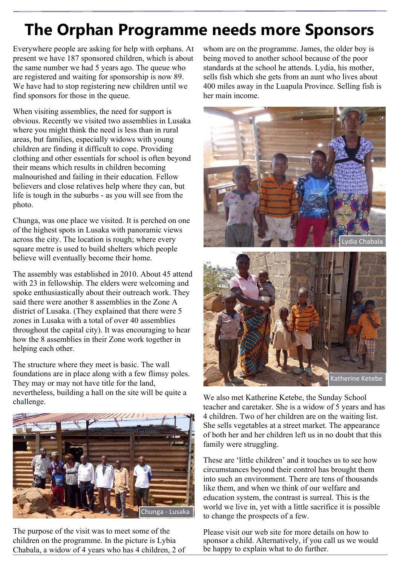# **The Orphan Programme needs more Sponsors**

Everywhere people are asking for help with orphans. At present we have 187 sponsored children, which is about the same number we had 5 years ago. The queue who are registered and waiting for sponsorship is now 89. We have had to stop registering new children until we find sponsors for those in the queue.

When visiting assemblies, the need for support is obvious. Recently we visited two assemblies in Lusaka where you might think the need is less than in rural areas, but families, especially widows with young children are finding it difficult to cope. Providing clothing and other essentials for school is often beyond their means which results in children becoming malnourished and failing in their education. Fellow believers and close relatives help where they can, but life is tough in the suburbs - as you will see from the photo.

Chunga, was one place we visited. It is perched on one of the highest spots in Lusaka with panoramic views across the city. The location is rough; where every square metre is used to build shelters which people believe will eventually become their home.

The assembly was established in 2010. About 45 attend with 23 in fellowship. The elders were welcoming and spoke enthusiastically about their outreach work. They said there were another 8 assemblies in the Zone A district of Lusaka. (They explained that there were 5 zones in Lusaka with a total of over 40 assemblies throughout the capital city). It was encouraging to hear how the 8 assemblies in their Zone work together in helping each other.

The structure where they meet is basic. The wall foundations are in place along with a few flimsy poles. They may or may not have title for the land, nevertheless, building a hall on the site will be quite a challenge.



The purpose of the visit was to meet some of the children on the programme. In the picture is Lybia Chabala, a widow of 4 years who has 4 children, 2 of whom are on the programme. James, the older boy is being moved to another school because of the poor standards at the school he attends. Lydia, his mother, sells fish which she gets from an aunt who lives about 400 miles away in the Luapula Province. Selling fish is her main income.



We also met Katherine Ketebe, the Sunday School teacher and caretaker. She is a widow of 5 years and has 4 children. Two of her children are on the waiting list. She sells vegetables at a street market. The appearance of both her and her children left us in no doubt that this family were struggling.

These are 'little children' and it touches us to see how circumstances beyond their control has brought them into such an environment. There are tens of thousands like them, and when we think of our welfare and education system, the contrast is surreal. This is the world we live in, yet with a little sacrifice it is possible to change the prospects of a few.

Please visit our web site for more details on how to sponsor a child. Alternatively, if you call us we would be happy to explain what to do further.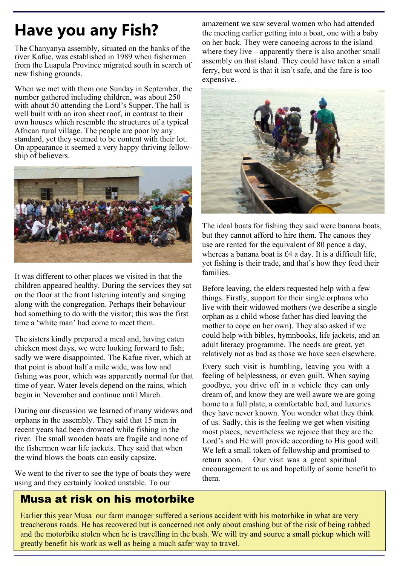# **Have you any Fish?**

The Chanyanya assembly, situated on the banks of the river Kafue, was established in 1989 when fishermen from the Luapula Province migrated south in search of new fishing grounds.

When we met with them one Sunday in September, the number gathered including children, was about 250 with about 50 attending the Lord's Supper. The hall is well built with an iron sheet roof, in contrast to their own houses which resemble the structures of a typical African rural village. The people are poor by any standard, yet they seemed to be content with their lot. On appearance it seemed a very happy thriving fellowship of believers.



It was different to other places we visited in that the children appeared healthy. During the services they sat on the floor at the front listening intently and singing along with the congregation. Perhaps their behaviour had something to do with the visitor; this was the first time a 'white man' had come to meet them.

The sisters kindly prepared a meal and, having eaten chicken most days, we were looking forward to fish; sadly we were disappointed. The Kafue river, which at that point is about half a mile wide, was low and fishing was poor, which was apparently normal for that time of year. Water levels depend on the rains, which begin in November and continue until March.

During our discussion we learned of many widows and orphans in the assembly. They said that 15 men in recent years had been drowned while fishing in the river. The small wooden boats are fragile and none of the fishermen wear life jackets. They said that when the wind blows the boats can easily capsize.

We went to the river to see the type of boats they were using and they certainly looked unstable. To our

amazement we saw several women who had attended the meeting earlier getting into a boat, one with a baby on her back. They were canoeing across to the island where they live – apparently there is also another small assembly on that island. They could have taken a small ferry, but word is that it isn't safe, and the fare is too expensive.



The ideal boats for fishing they said were banana boats, but they cannot afford to hire them. The canoes they use are rented for the equivalent of 80 pence a day, whereas a banana boat is £4 a day. It is a difficult life, yet fishing is their trade, and that's how they feed their families.

Before leaving, the elders requested help with a few things. Firstly, support for their single orphans who live with their widowed mothers (we describe a single orphan as a child whose father has died leaving the mother to cope on her own). They also asked if we could help with bibles, hymnbooks, life jackets, and an adult literacy programme. The needs are great, yet relatively not as bad as those we have seen elsewhere.

Every such visit is humbling, leaving you with a feeling of helplessness, or even guilt. When saying goodbye, you drive off in a vehicle they can only dream of, and know they are well aware we are going home to a full plate, a comfortable bed, and luxuries they have never known. You wonder what they think of us. Sadly, this is the feeling we get when visiting most places, nevertheless we rejoice that they are the Lord's and He will provide according to His good will. We left a small token of fellowship and promised to return soon. Our visit was a great spiritual encouragement to us and hopefully of some benefit to them.

#### **Musa at risk on his motorbike**

Earlier this year Musa our farm manager suffered a serious accident with his motorbike in what are very treacherous roads. He has recovered but is concerned not only about crashing but of the risk of being robbed and the motorbike stolen when he is travelling in the bush. We will try and source a small pickup which will greatly benefit his work as well as being a much safer way to travel.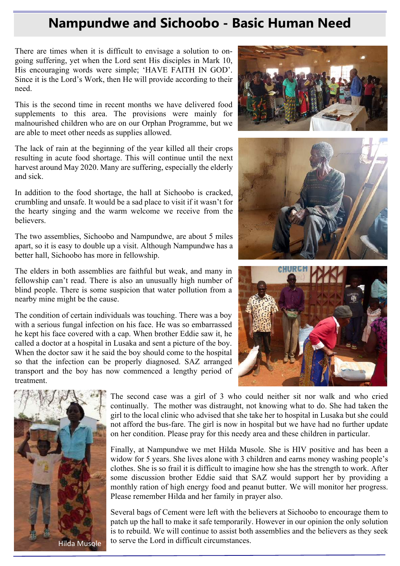## **Nampundwe and Sichoobo - Basic Human Need**

There are times when it is difficult to envisage a solution to ongoing suffering, yet when the Lord sent His disciples in Mark 10, His encouraging words were simple; 'HAVE FAITH IN GOD'. Since it is the Lord's Work, then He will provide according to their need.

This is the second time in recent months we have delivered food supplements to this area. The provisions were mainly for malnourished children who are on our Orphan Programme, but we are able to meet other needs as supplies allowed.

The lack of rain at the beginning of the year killed all their crops resulting in acute food shortage. This will continue until the next harvest around May 2020. Many are suffering, especially the elderly and sick.

In addition to the food shortage, the hall at Sichoobo is cracked, crumbling and unsafe. It would be a sad place to visit if it wasn't for the hearty singing and the warm welcome we receive from the believers.

The two assemblies, Sichoobo and Nampundwe, are about 5 miles apart, so it is easy to double up a visit. Although Nampundwe has a better hall, Sichoobo has more in fellowship.

The elders in both assemblies are faithful but weak, and many in fellowship can't read. There is also an unusually high number of blind people. There is some suspicion that water pollution from a nearby mine might be the cause.

The condition of certain individuals was touching. There was a boy with a serious fungal infection on his face. He was so embarrassed he kept his face covered with a cap. When brother Eddie saw it, he called a doctor at a hospital in Lusaka and sent a picture of the boy. When the doctor saw it he said the boy should come to the hospital so that the infection can be properly diagnosed. SAZ arranged transport and the boy has now commenced a lengthy period of treatment.









The second case was a girl of 3 who could neither sit nor walk and who cried continually. The mother was distraught, not knowing what to do. She had taken the girl to the local clinic who advised that she take her to hospital in Lusaka but she could not afford the bus-fare. The girl is now in hospital but we have had no further update on her condition. Please pray for this needy area and these children in particular.

Finally, at Nampundwe we met Hilda Musole. She is HIV positive and has been a widow for 5 years. She lives alone with 3 children and earns money washing people's clothes. She is so frail it is difficult to imagine how she has the strength to work. After some discussion brother Eddie said that SAZ would support her by providing a monthly ration of high energy food and peanut butter. We will monitor her progress. Please remember Hilda and her family in prayer also.

Several bags of Cement were left with the believers at Sichoobo to encourage them to patch up the hall to make it safe temporarily. However in our opinion the only solution is to rebuild. We will continue to assist both assemblies and the believers as they seek to serve the Lord in difficult circumstances.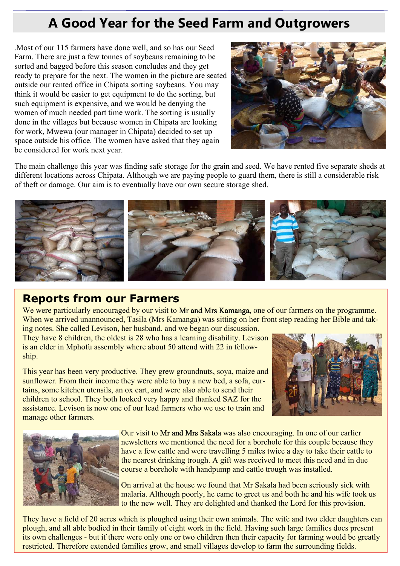# **A Good Year for the Seed Farm and Outgrowers**

.Most of our 115 farmers have done well, and so has our Seed Farm. There are just a few tonnes of soybeans remaining to be sorted and bagged before this season concludes and they get ready to prepare for the next. The women in the picture are seated outside our rented office in Chipata sorting soybeans. You may think it would be easier to get equipment to do the sorting, but such equipment is expensive, and we would be denying the women of much needed part time work. The sorting is usually done in the villages but because women in Chipata are looking for work, Mwewa (our manager in Chipata) decided to set up space outside his office. The women have asked that they again be considered for work next year.



The main challenge this year was finding safe storage for the grain and seed. We have rented five separate sheds at different locations across Chipata. Although we are paying people to guard them, there is still a considerable risk of theft or damage. Our aim is to eventually have our own secure storage shed.



### **Reports from our Farmers**

We were particularly encouraged by our visit to Mr and Mrs Kamanga, one of our farmers on the programme. When we arrived unannounced, Tasila (Mrs Kamanga) was sitting on her front step reading her Bible and tak-

ing notes. She called Levison, her husband, and we began our discussion. They have 8 children, the oldest is 28 who has a learning disability. Levison is an elder in Mphofu assembly where about 50 attend with 22 in fellowship.

This year has been very productive. They grew groundnuts, soya, maize and sunflower. From their income they were able to buy a new bed, a sofa, curtains, some kitchen utensils, an ox cart, and were also able to send their children to school. They both looked very happy and thanked SAZ for the assistance. Levison is now one of our lead farmers who we use to train and manage other farmers.





Our visit to Mr and Mrs Sakala was also encouraging. In one of our earlier newsletters we mentioned the need for a borehole for this couple because they have a few cattle and were travelling 5 miles twice a day to take their cattle to the nearest drinking trough. A gift was received to meet this need and in due course a borehole with handpump and cattle trough was installed.

On arrival at the house we found that Mr Sakala had been seriously sick with malaria. Although poorly, he came to greet us and both he and his wife took us to the new well. They are delighted and thanked the Lord for this provision.

They have a field of 20 acres which is ploughed using their own animals. The wife and two elder daughters can plough, and all able bodied in their family of eight work in the field. Having such large families does present its own challenges - but if there were only one or two children then their capacity for farming would be greatly restricted. Therefore extended families grow, and small villages develop to farm the surrounding fields.